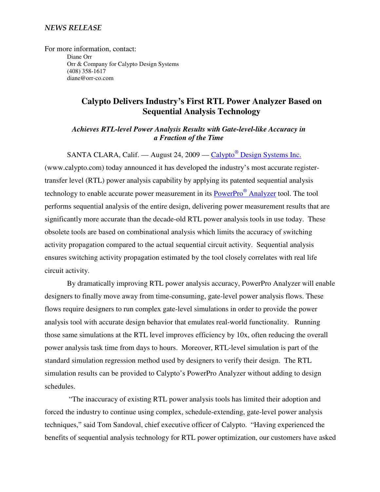## NEWS RELEASE

For more information, contact: Diane Orr Orr & Company for Calypto Design Systems (408) 358-1617 diane@orr-co.com

# **Calypto Delivers Industry's First RTL Power Analyzer Based on Sequential Analysis Technology**

*Achieves RTL-level Power Analysis Results with Gate-level-like Accuracy in a Fraction of the Time* 

SANTA CLARA, Calif. — August 24, 2009 — Calypto<sup>®</sup> Design Systems Inc.

(www.calypto.com) today announced it has developed the industry's most accurate registertransfer level (RTL) power analysis capability by applying its patented sequential analysis technology to enable accurate power measurement in its **PowerPro<sup>®</sup> Analyzer** tool. The tool performs sequential analysis of the entire design, delivering power measurement results that are significantly more accurate than the decade-old RTL power analysis tools in use today. These obsolete tools are based on combinational analysis which limits the accuracy of switching activity propagation compared to the actual sequential circuit activity. Sequential analysis ensures switching activity propagation estimated by the tool closely correlates with real life circuit activity.

By dramatically improving RTL power analysis accuracy, PowerPro Analyzer will enable designers to finally move away from time-consuming, gate-level power analysis flows. These flows require designers to run complex gate-level simulations in order to provide the power analysis tool with accurate design behavior that emulates real-world functionality. Running those same simulations at the RTL level improves efficiency by 10x, often reducing the overall power analysis task time from days to hours. Moreover, RTL-level simulation is part of the standard simulation regression method used by designers to verify their design. The RTL simulation results can be provided to Calypto's PowerPro Analyzer without adding to design schedules.

 "The inaccuracy of existing RTL power analysis tools has limited their adoption and forced the industry to continue using complex, schedule-extending, gate-level power analysis techniques," said Tom Sandoval, chief executive officer of Calypto. "Having experienced the benefits of sequential analysis technology for RTL power optimization, our customers have asked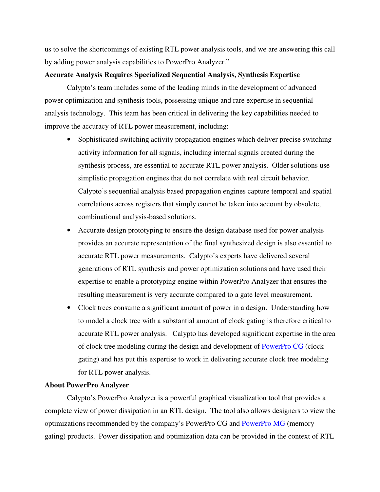us to solve the shortcomings of existing RTL power analysis tools, and we are answering this call by adding power analysis capabilities to PowerPro Analyzer."

# **Accurate Analysis Requires Specialized Sequential Analysis, Synthesis Expertise**

Calypto's team includes some of the leading minds in the development of advanced power optimization and synthesis tools, possessing unique and rare expertise in sequential analysis technology. This team has been critical in delivering the key capabilities needed to improve the accuracy of RTL power measurement, including:

- Sophisticated switching activity propagation engines which deliver precise switching activity information for all signals, including internal signals created during the synthesis process, are essential to accurate RTL power analysis. Older solutions use simplistic propagation engines that do not correlate with real circuit behavior. Calypto's sequential analysis based propagation engines capture temporal and spatial correlations across registers that simply cannot be taken into account by obsolete, combinational analysis-based solutions.
- Accurate design prototyping to ensure the design database used for power analysis provides an accurate representation of the final synthesized design is also essential to accurate RTL power measurements. Calypto's experts have delivered several generations of RTL synthesis and power optimization solutions and have used their expertise to enable a prototyping engine within PowerPro Analyzer that ensures the resulting measurement is very accurate compared to a gate level measurement.
- Clock trees consume a significant amount of power in a design. Understanding how to model a clock tree with a substantial amount of clock gating is therefore critical to accurate RTL power analysis. Calypto has developed significant expertise in the area of clock tree modeling during the design and development of PowerPro CG (clock gating) and has put this expertise to work in delivering accurate clock tree modeling for RTL power analysis.

#### **About PowerPro Analyzer**

Calypto's PowerPro Analyzer is a powerful graphical visualization tool that provides a complete view of power dissipation in an RTL design. The tool also allows designers to view the optimizations recommended by the company's PowerPro CG and PowerPro MG (memory gating) products. Power dissipation and optimization data can be provided in the context of RTL